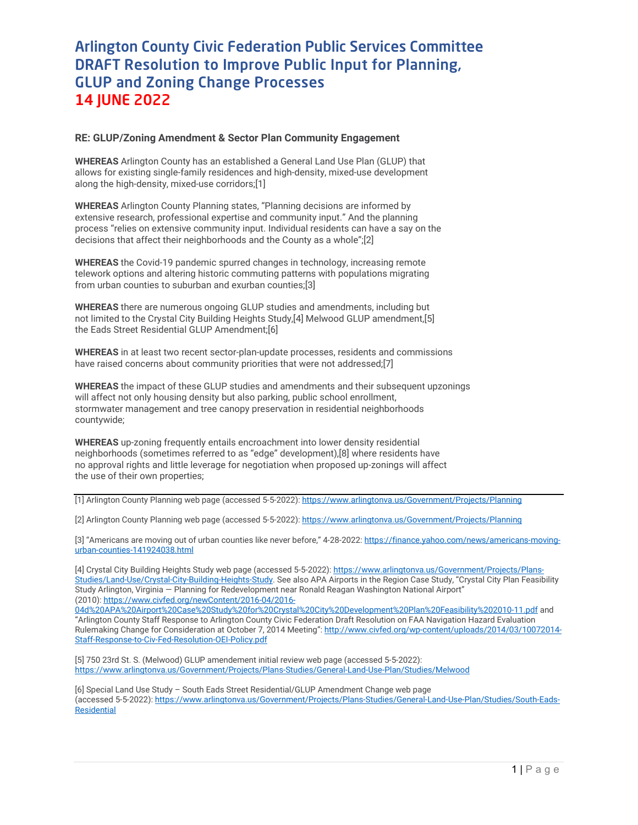## Arlington County Civic Federation Public Services Committee DRAFT Resolution to Improve Public Input for Planning, GLUP and Zoning Change Processes 14 JUNE 2022

## **RE: GLUP/Zoning Amendment & Sector Plan Community Engagement**

**WHEREAS** Arlington County has an established a General Land Use Plan (GLUP) that allows for existing single-family residences and high-density, mixed-use development along the high-density, mixed-use corridors;[1]

**WHEREAS** Arlington County Planning states, "Planning decisions are informed by extensive research, professional expertise and community input." And the planning process "relies on extensive community input. Individual residents can have a say on the decisions that affect their neighborhoods and the County as a whole";[2]

**WHEREAS** the Covid-19 pandemic spurred changes in technology, increasing remote telework options and altering historic commuting patterns with populations migrating from urban counties to suburban and exurban counties;[3]

**WHEREAS** there are numerous ongoing GLUP studies and amendments, including but not limited to the Crystal City Building Heights Study,[4] Melwood GLUP amendment,[5] the Eads Street Residential GLUP Amendment;[6]

**WHEREAS** in at least two recent sector-plan-update processes, residents and commissions have raised concerns about community priorities that were not addressed:[7]

**WHEREAS** the impact of these GLUP studies and amendments and their subsequent upzonings will affect not only housing density but also parking, public school enrollment, stormwater management and tree canopy preservation in residential neighborhoods countywide;

**WHEREAS** up-zoning frequently entails encroachment into lower density residential neighborhoods (sometimes referred to as "edge" development),[8] where residents have no approval rights and little leverage for negotiation when proposed up-zonings will affect the use of their own properties;

[1] Arlington County Planning web page (accessed 5-5-2022): <https://www.arlingtonva.us/Government/Projects/Planning>

[2] Arlington County Planning web page (accessed 5-5-2022): <https://www.arlingtonva.us/Government/Projects/Planning>

[3] "Americans are moving out of urban counties like never before," 4-28-2022: [https://finance.yahoo.com/news/americans-moving](https://finance.yahoo.com/news/americans-moving-urban-counties-141924038.html)[urban-counties-141924038.html](https://finance.yahoo.com/news/americans-moving-urban-counties-141924038.html)

[4] Crystal City Building Heights Study web page (accessed 5-5-2022): [https://www.arlingtonva.us/Government/Projects/Plans-](https://www.arlingtonva.us/Government/Projects/Plans-Studies/Land-Use/Crystal-City-Building-Heights-Study)[Studies/Land-Use/Crystal-City-Building-Heights-Study.](https://www.arlingtonva.us/Government/Projects/Plans-Studies/Land-Use/Crystal-City-Building-Heights-Study) See also APA Airports in the Region Case Study, "Crystal City Plan Feasibility Study Arlington, Virginia — Planning for Redevelopment near Ronald Reagan Washington National Airport" (2010)[: https://www.civfed.org/newContent/2016-04/2016-](https://www.civfed.org/newContent/2016-04/2016-04d%20APA%20Airport%20Case%20Study%20for%20Crystal%20City%20Development%20Plan%20Feasibility%202010-11.pdf)

[04d%20APA%20Airport%20Case%20Study%20for%20Crystal%20City%20Development%20Plan%20Feasibility%202010-11.pdf](https://www.civfed.org/newContent/2016-04/2016-04d%20APA%20Airport%20Case%20Study%20for%20Crystal%20City%20Development%20Plan%20Feasibility%202010-11.pdf) and "Arlington County Staff Response to Arlington County Civic Federation Draft Resolution on FAA Navigation Hazard Evaluation Rulemaking Change for Consideration at October 7, 2014 Meeting"[: http://www.civfed.org/wp-content/uploads/2014/03/10072014-](http://www.civfed.org/wp-content/uploads/2014/03/10072014-Staff-Response-to-Civ-Fed-Resolution-OEI-Policy.pdf) [Staff-Response-to-Civ-Fed-Resolution-OEI-Policy.pdf](http://www.civfed.org/wp-content/uploads/2014/03/10072014-Staff-Response-to-Civ-Fed-Resolution-OEI-Policy.pdf)

[5] 750 23rd St. S. (Melwood) GLUP amendement initial review web page (accessed 5-5-2022): <https://www.arlingtonva.us/Government/Projects/Plans-Studies/General-Land-Use-Plan/Studies/Melwood>

[6] Special Land Use Study – South Eads Street Residential/GLUP Amendment Change web page (accessed 5-5-2022)[: https://www.arlingtonva.us/Government/Projects/Plans-Studies/General-Land-Use-Plan/Studies/South-Eads-](https://www.arlingtonva.us/Government/Projects/Plans-Studies/General-Land-Use-Plan/Studies/South-Eads-Residential)**[Residential](https://www.arlingtonva.us/Government/Projects/Plans-Studies/General-Land-Use-Plan/Studies/South-Eads-Residential)**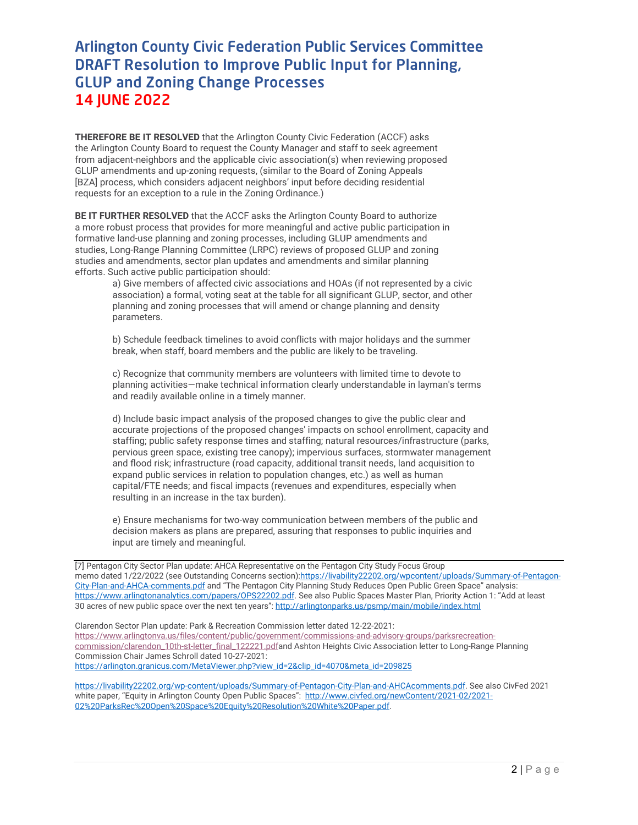## Arlington County Civic Federation Public Services Committee DRAFT Resolution to Improve Public Input for Planning, GLUP and Zoning Change Processes 14 JUNE 2022

**THEREFORE BE IT RESOLVED** that the Arlington County Civic Federation (ACCF) asks the Arlington County Board to request the County Manager and staff to seek agreement from adjacent-neighbors and the applicable civic association(s) when reviewing proposed GLUP amendments and up-zoning requests, (similar to the Board of Zoning Appeals [BZA] process, which considers adjacent neighbors' input before deciding residential requests for an exception to a rule in the Zoning Ordinance.)

**BE IT FURTHER RESOLVED** that the ACCF asks the Arlington County Board to authorize a more robust process that provides for more meaningful and active public participation in formative land-use planning and zoning processes, including GLUP amendments and studies, Long-Range Planning Committee (LRPC) reviews of proposed GLUP and zoning studies and amendments, sector plan updates and amendments and similar planning efforts. Such active public participation should:

a) Give members of affected civic associations and HOAs (if not represented by a civic association) a formal, voting seat at the table for all significant GLUP, sector, and other planning and zoning processes that will amend or change planning and density parameters.

b) Schedule feedback timelines to avoid conflicts with major holidays and the summer break, when staff, board members and the public are likely to be traveling.

c) Recognize that community members are volunteers with limited time to devote to planning activities—make technical information clearly understandable in layman's terms and readily available online in a timely manner.

d) Include basic impact analysis of the proposed changes to give the public clear and accurate projections of the proposed changes' impacts on school enrollment, capacity and staffing; public safety response times and staffing; natural resources/infrastructure (parks, pervious green space, existing tree canopy); impervious surfaces, stormwater management and flood risk; infrastructure (road capacity, additional transit needs, land acquisition to expand public services in relation to population changes, etc.) as well as human capital/FTE needs; and fiscal impacts (revenues and expenditures, especially when resulting in an increase in the tax burden).

e) Ensure mechanisms for two-way communication between members of the public and decision makers as plans are prepared, assuring that responses to public inquiries and input are timely and meaningful.

[7] Pentagon City Sector Plan update: AHCA Representative on the Pentagon City Study Focus Group memo dated 1/22/2022 (see Outstanding Concerns section[\):https://livability22202.org/wpcontent/uploads/Summary-of-Pentagon-](https://livability22202.org/wpcontent/uploads/Summary-of-Pentagon-City-Plan-and-AHCA-comments.pdf)[City-Plan-and-AHCA-comments.pdf](https://livability22202.org/wpcontent/uploads/Summary-of-Pentagon-City-Plan-and-AHCA-comments.pdf) and "The Pentagon City Planning Study Reduces Open Public Green Space" analysis: [https://www.arlingtonanalytics.com/papers/OPS22202.pdf.](https://www.arlingtonanalytics.com/papers/OPS22202.pdf) See also Public Spaces Master Plan, Priority Action 1: "Add at least 30 acres of new public space over the next ten years": <http://arlingtonparks.us/psmp/main/mobile/index.html>

Clarendon Sector Plan update: Park & Recreation Commission letter dated 12-22-2021: [https://www.arlingtonva.us/files/content/public/government/commissions-and-advisory-groups/parksrecreation](https://www.arlingtonva.us/files/content/public/government/commissions-and-advisory-groups/parksrecreation-commission/clarendon_10th-st-letter_final_122221.pdf)[commission/clarendon\\_10th-st-letter\\_final\\_122221.pdfa](https://www.arlingtonva.us/files/content/public/government/commissions-and-advisory-groups/parksrecreation-commission/clarendon_10th-st-letter_final_122221.pdf)nd Ashton Heights Civic Association letter to Long-Range Planning Commission Chair James Schroll dated 10-27-2021: [https://arlington.granicus.com/MetaViewer.php?view\\_id=2&clip\\_id=4070&meta\\_id=209825](https://arlington.granicus.com/MetaViewer.php?view_id=2&clip_id=4070&meta_id=209825)

[https://livability22202.org/wp-content/uploads/Summary-of-Pentagon-City-Plan-and-AHCAcomments.pdf.](https://livability22202.org/wp-content/uploads/Summary-of-Pentagon-City-Plan-and-AHCAcomments.pdf) See also CivFed 2021 white paper, "Equity in Arlington County Open Public Spaces": [http://www.civfed.org/newContent/2021-02/2021-](http://www.civfed.org/newContent/2021-02/2021-02%20ParksRec%20Open%20Space%20Equity%20Resolution%20White%20Paper.pdf) [02%20ParksRec%20Open%20Space%20Equity%20Resolution%20White%20Paper.pdf.](http://www.civfed.org/newContent/2021-02/2021-02%20ParksRec%20Open%20Space%20Equity%20Resolution%20White%20Paper.pdf)